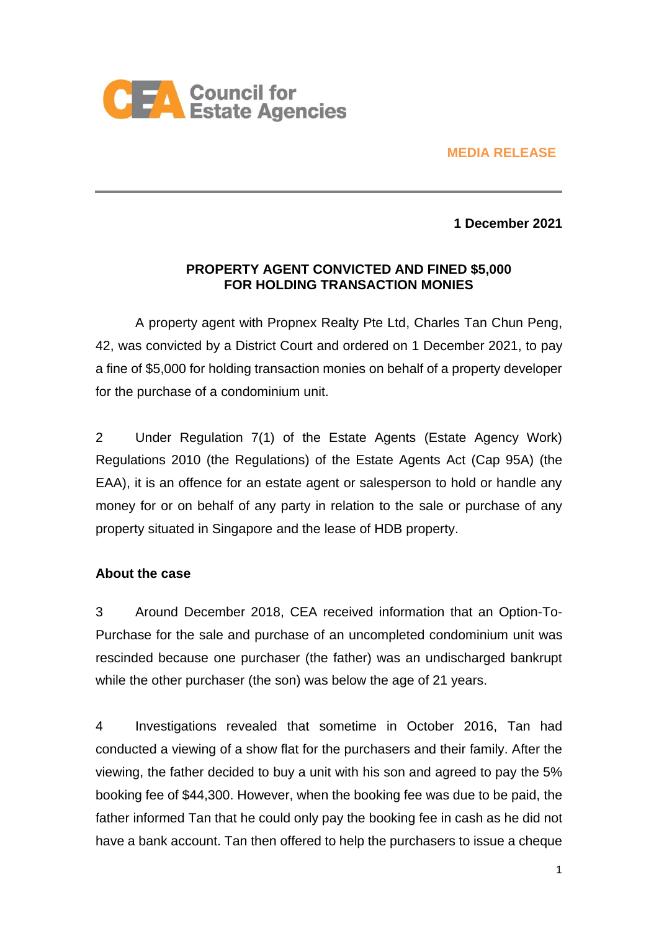

### **MEDIA RELEASE**

**1 December 2021**

### **PROPERTY AGENT CONVICTED AND FINED \$5,000 FOR HOLDING TRANSACTION MONIES**

A property agent with Propnex Realty Pte Ltd, Charles Tan Chun Peng, 42, was convicted by a District Court and ordered on 1 December 2021, to pay a fine of \$5,000 for holding transaction monies on behalf of a property developer for the purchase of a condominium unit.

2 Under Regulation 7(1) of the Estate Agents (Estate Agency Work) Regulations 2010 (the Regulations) of the Estate Agents Act (Cap 95A) (the EAA), it is an offence for an estate agent or salesperson to hold or handle any money for or on behalf of any party in relation to the sale or purchase of any property situated in Singapore and the lease of HDB property.

### **About the case**

3 Around December 2018, CEA received information that an Option-To-Purchase for the sale and purchase of an uncompleted condominium unit was rescinded because one purchaser (the father) was an undischarged bankrupt while the other purchaser (the son) was below the age of 21 years.

4 Investigations revealed that sometime in October 2016, Tan had conducted a viewing of a show flat for the purchasers and their family. After the viewing, the father decided to buy a unit with his son and agreed to pay the 5% booking fee of \$44,300. However, when the booking fee was due to be paid, the father informed Tan that he could only pay the booking fee in cash as he did not have a bank account. Tan then offered to help the purchasers to issue a cheque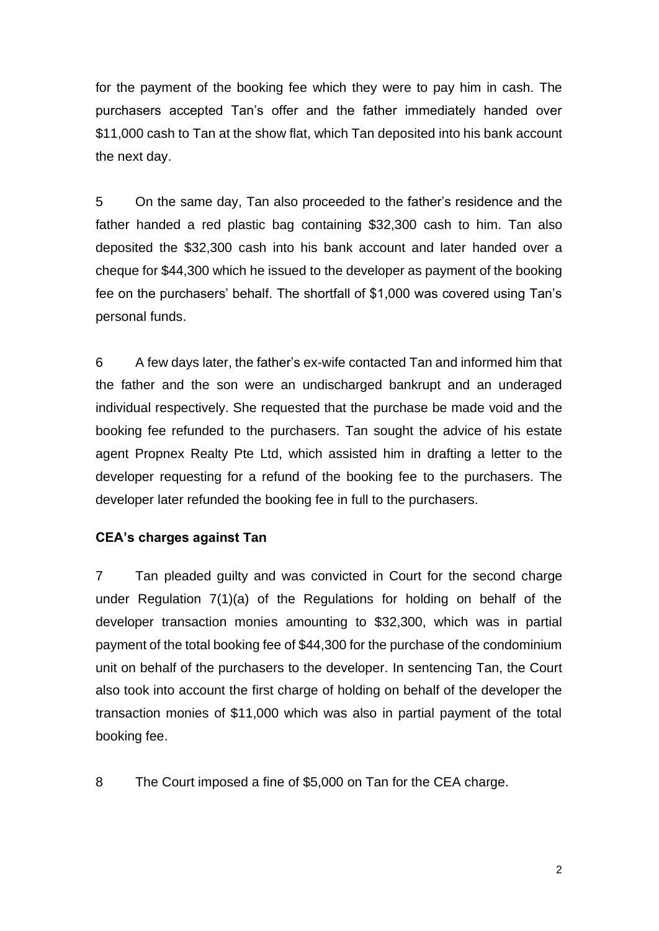for the payment of the booking fee which they were to pay him in cash. The purchasers accepted Tan's offer and the father immediately handed over \$11,000 cash to Tan at the show flat, which Tan deposited into his bank account the next day.

5 On the same day, Tan also proceeded to the father's residence and the father handed a red plastic bag containing \$32,300 cash to him. Tan also deposited the \$32,300 cash into his bank account and later handed over a cheque for \$44,300 which he issued to the developer as payment of the booking fee on the purchasers' behalf. The shortfall of \$1,000 was covered using Tan's personal funds.

6 A few days later, the father's ex-wife contacted Tan and informed him that the father and the son were an undischarged bankrupt and an underaged individual respectively. She requested that the purchase be made void and the booking fee refunded to the purchasers. Tan sought the advice of his estate agent Propnex Realty Pte Ltd, which assisted him in drafting a letter to the developer requesting for a refund of the booking fee to the purchasers. The developer later refunded the booking fee in full to the purchasers.

## **CEA's charges against Tan**

7 Tan pleaded guilty and was convicted in Court for the second charge under Regulation 7(1)(a) of the Regulations for holding on behalf of the developer transaction monies amounting to \$32,300, which was in partial payment of the total booking fee of \$44,300 for the purchase of the condominium unit on behalf of the purchasers to the developer. In sentencing Tan, the Court also took into account the first charge of holding on behalf of the developer the transaction monies of \$11,000 which was also in partial payment of the total booking fee.

8 The Court imposed a fine of \$5,000 on Tan for the CEA charge.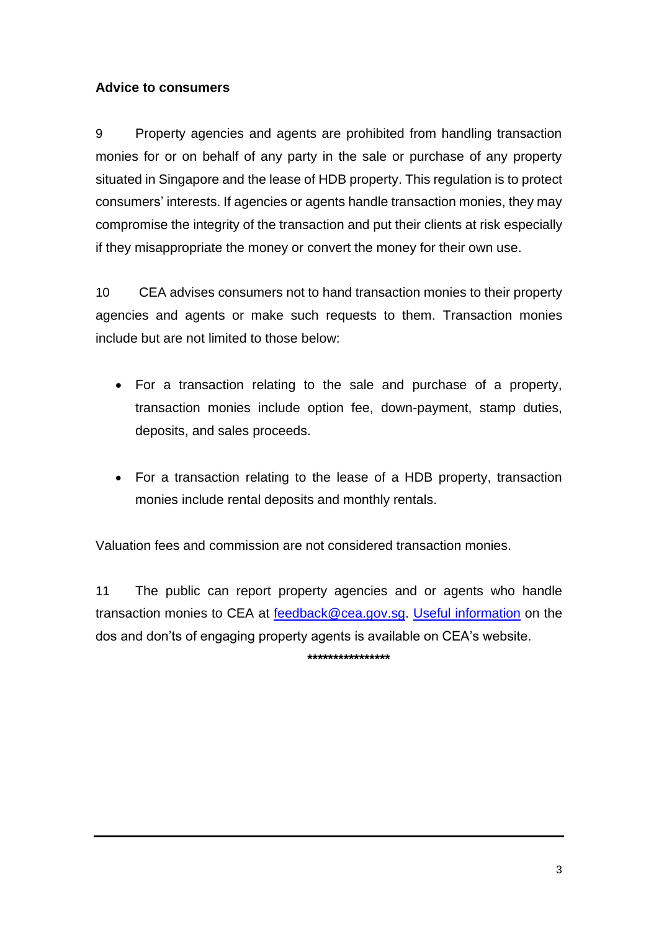### **Advice to consumers**

9 Property agencies and agents are prohibited from handling transaction monies for or on behalf of any party in the sale or purchase of any property situated in Singapore and the lease of HDB property. This regulation is to protect consumers' interests. If agencies or agents handle transaction monies, they may compromise the integrity of the transaction and put their clients at risk especially if they misappropriate the money or convert the money for their own use.

10 CEA advises consumers not to hand transaction monies to their property agencies and agents or make such requests to them. Transaction monies include but are not limited to those below:

- For a transaction relating to the sale and purchase of a property, transaction monies include option fee, down-payment, stamp duties, deposits, and sales proceeds.
- For a transaction relating to the lease of a HDB property, transaction monies include rental deposits and monthly rentals.

Valuation fees and commission are not considered transaction monies.

11 The public can report property agencies and or agents who handle transaction monies to CEA at [feedback@cea.gov.sg.](mailto:feedback@cea.gov.sg) [Useful information](https://ap-southeast-1-02820030-view.menlosecurity.com/https:/www.cea.gov.sg/consumers/educational-materials/guides-brochures) on the dos and don'ts of engaging property agents is available on CEA's website.

**\*\*\*\*\*\*\*\*\*\*\*\*\*\*\*\***